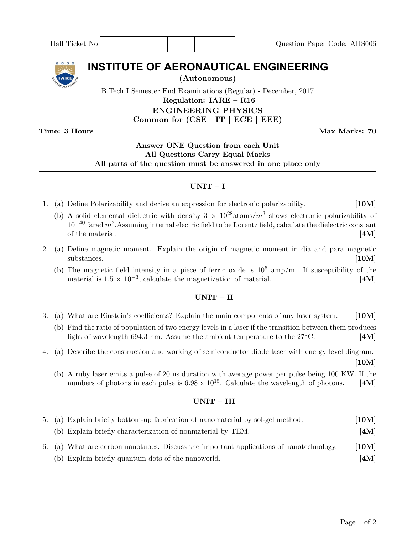| Hall Ticket No                                                                                                                                                 | Question Paper Code: AHS006 |
|----------------------------------------------------------------------------------------------------------------------------------------------------------------|-----------------------------|
| <b>INSTITUTE OF AERONAUTICAL ENGINEERING</b><br>(Autonomous)<br><b>IARE</b>                                                                                    |                             |
| B.Tech I Semester End Examinations (Regular) - December, 2017<br>Regulation: $IARE - R16$<br><b>ENGINEERING PHYSICS</b><br>Common for $(CSE   IT   ECE   EEE)$ |                             |

**Time: 3 Hours Max Marks: 70** 

# **Answer ONE Question from each Unit All Questions Carry Equal Marks All parts of the question must be answered in one place only**

## **UNIT – I**

- 1. (a) Define Polarizability and derive an expression for electronic polarizability. **[10M]**
	- (b) A solid elemental dielectric with density  $3 \times 10^{28}$ atoms/ $m<sup>3</sup>$  shows electronic polarizability of  $10^{-40}$  farad  $m^2$ . Assuming internal electric field to be Lorentz field, calculate the dielectric constant of the material. **[4M]**
- 2. (a) Define magnetic moment. Explain the origin of magnetic moment in dia and para magnetic substances. **[10M]** 
	- (b) The magnetic field intensity in a piece of ferric oxide is  $10^6$  amp/m. If susceptibility of the material is  $1.5 \times 10^{-3}$ , calculate the magnetization of material. **[4M]**

### **UNIT – II**

- 3. (a) What are Einstein's coefficients? Explain the main components of any laser system. **[10M]**
	- (b) Find the ratio of population of two energy levels in a laser if the transition between them produces light of wavelength 694.3 nm. Assume the ambient temperature to the 27◦C. **[4M]**

4. (a) Describe the construction and working of semiconductor diode laser with energy level diagram.

**[10M]**

(b) A ruby laser emits a pulse of 20 ns duration with average power per pulse being 100 KW. If the numbers of photons in each pulse is  $6.98 \times 10^{15}$ . Calculate the wavelength of photons. [4M]

### **UNIT – III**

| 5. (a) Explain briefly bottom-up fabrication of nanomaterial by sol-gel method.         | [10M] |
|-----------------------------------------------------------------------------------------|-------|
| (b) Explain briefly characterization of nonmaterial by TEM.                             | [4M]  |
| 6. (a) What are carbon nanotubes. Discuss the important applications of nanotechnology. | [10M] |
| (b) Explain briefly quantum dots of the nanoworld.                                      | [4M]  |